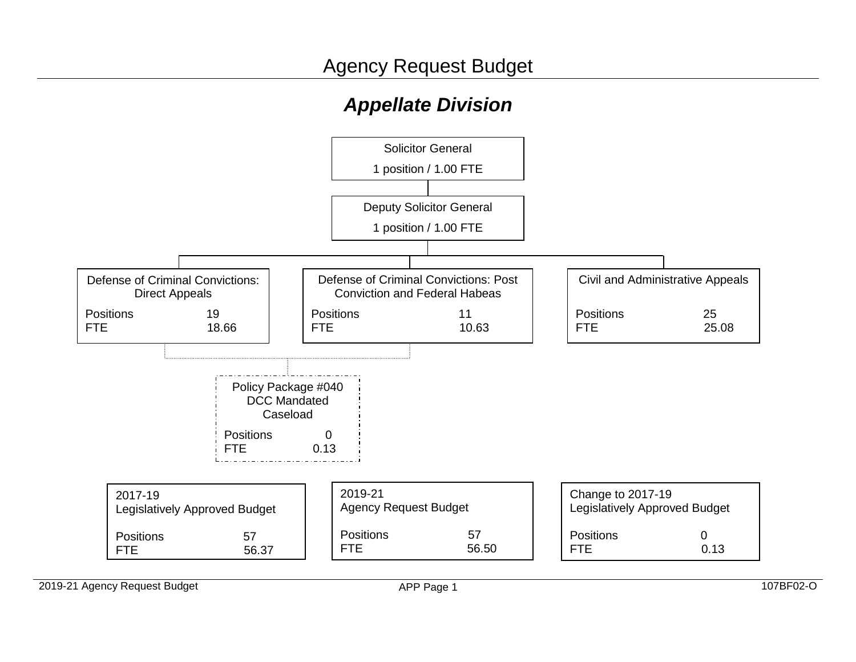# *Appellate Division*



2019-21 Agency Request Budget **APP Page 1** 107BF02-O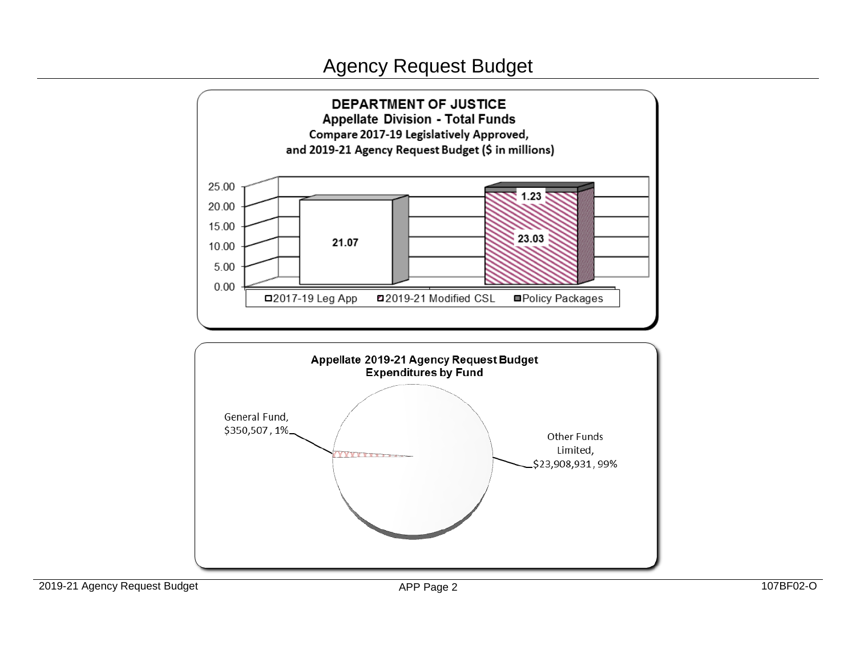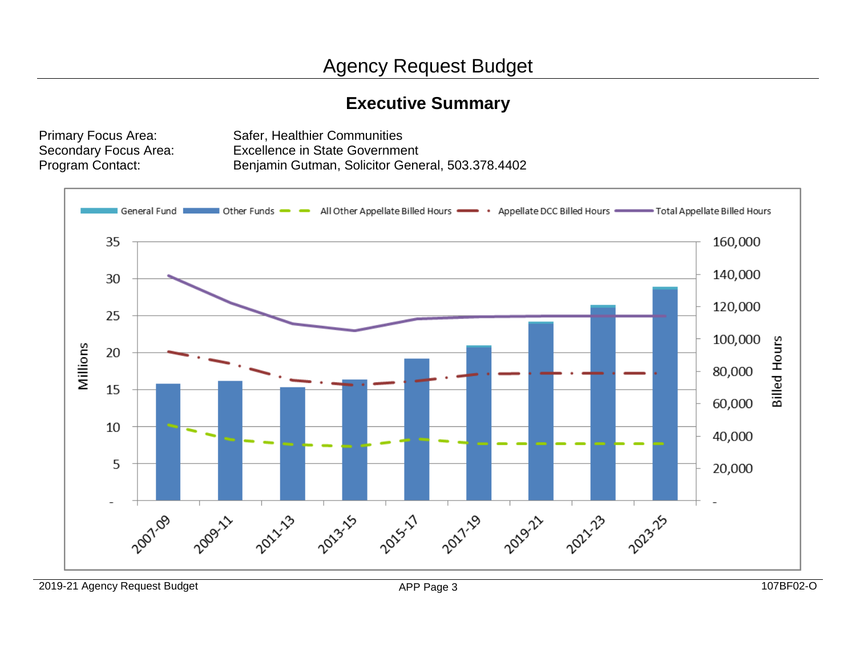# **Executive Summary**

Primary Focus Area: Safer, Healthier Communities Secondary Focus Area: Excellence in State Government Program Contact: Benjamin Gutman, Solicitor General, 503.378.4402

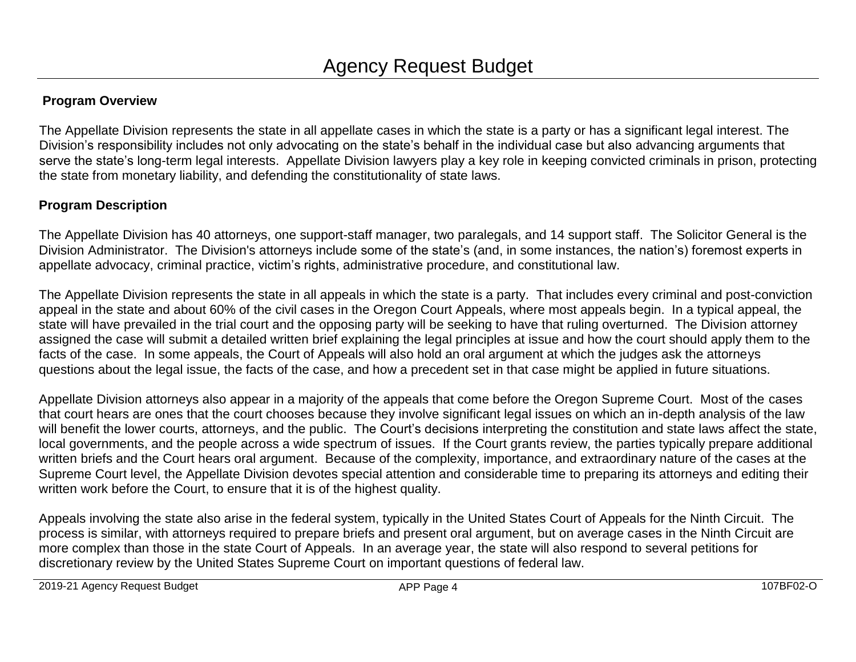# **Program Overview**

The Appellate Division represents the state in all appellate cases in which the state is a party or has a significant legal interest. The Division's responsibility includes not only advocating on the state's behalf in the individual case but also advancing arguments that serve the state's long-term legal interests. Appellate Division lawyers play a key role in keeping convicted criminals in prison, protecting the state from monetary liability, and defending the constitutionality of state laws.

# **Program Description**

The Appellate Division has 40 attorneys, one support-staff manager, two paralegals, and 14 support staff. The Solicitor General is the Division Administrator. The Division's attorneys include some of the state's (and, in some instances, the nation's) foremost experts in appellate advocacy, criminal practice, victim's rights, administrative procedure, and constitutional law.

The Appellate Division represents the state in all appeals in which the state is a party. That includes every criminal and post-conviction appeal in the state and about 60% of the civil cases in the Oregon Court Appeals, where most appeals begin. In a typical appeal, the state will have prevailed in the trial court and the opposing party will be seeking to have that ruling overturned. The Division attorney assigned the case will submit a detailed written brief explaining the legal principles at issue and how the court should apply them to the facts of the case. In some appeals, the Court of Appeals will also hold an oral argument at which the judges ask the attorneys questions about the legal issue, the facts of the case, and how a precedent set in that case might be applied in future situations.

Appellate Division attorneys also appear in a majority of the appeals that come before the Oregon Supreme Court. Most of the cases that court hears are ones that the court chooses because they involve significant legal issues on which an in-depth analysis of the law will benefit the lower courts, attorneys, and the public. The Court's decisions interpreting the constitution and state laws affect the state, local governments, and the people across a wide spectrum of issues. If the Court grants review, the parties typically prepare additional written briefs and the Court hears oral argument. Because of the complexity, importance, and extraordinary nature of the cases at the Supreme Court level, the Appellate Division devotes special attention and considerable time to preparing its attorneys and editing their written work before the Court, to ensure that it is of the highest quality.

Appeals involving the state also arise in the federal system, typically in the United States Court of Appeals for the Ninth Circuit. The process is similar, with attorneys required to prepare briefs and present oral argument, but on average cases in the Ninth Circuit are more complex than those in the state Court of Appeals. In an average year, the state will also respond to several petitions for discretionary review by the United States Supreme Court on important questions of federal law.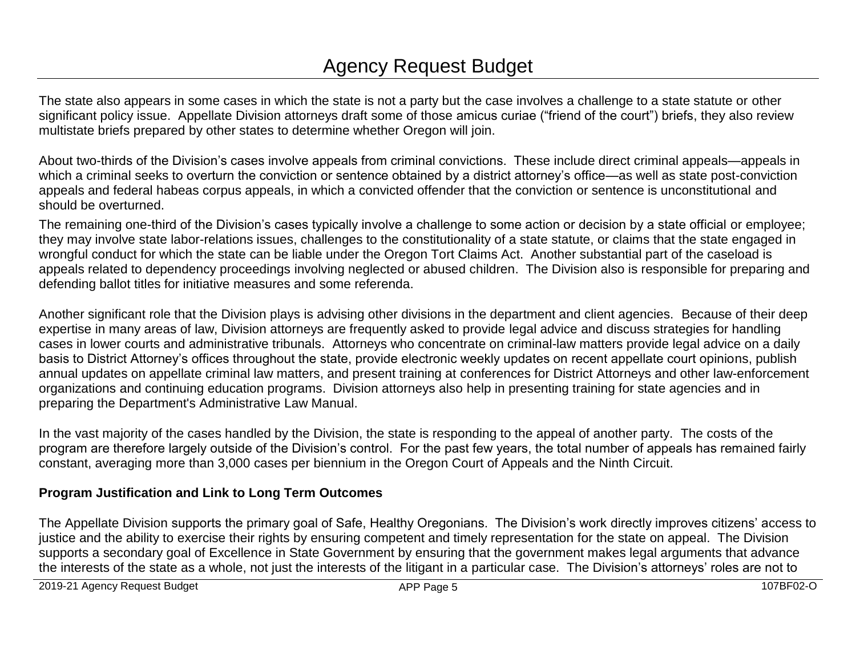The state also appears in some cases in which the state is not a party but the case involves a challenge to a state statute or other significant policy issue. Appellate Division attorneys draft some of those amicus curiae ("friend of the court") briefs, they also review multistate briefs prepared by other states to determine whether Oregon will join.

About two-thirds of the Division's cases involve appeals from criminal convictions. These include direct criminal appeals—appeals in which a criminal seeks to overturn the conviction or sentence obtained by a district attorney's office—as well as state post-conviction appeals and federal habeas corpus appeals, in which a convicted offender that the conviction or sentence is unconstitutional and should be overturned.

The remaining one-third of the Division's cases typically involve a challenge to some action or decision by a state official or employee; they may involve state labor-relations issues, challenges to the constitutionality of a state statute, or claims that the state engaged in wrongful conduct for which the state can be liable under the Oregon Tort Claims Act. Another substantial part of the caseload is appeals related to dependency proceedings involving neglected or abused children. The Division also is responsible for preparing and defending ballot titles for initiative measures and some referenda.

Another significant role that the Division plays is advising other divisions in the department and client agencies. Because of their deep expertise in many areas of law, Division attorneys are frequently asked to provide legal advice and discuss strategies for handling cases in lower courts and administrative tribunals. Attorneys who concentrate on criminal-law matters provide legal advice on a daily basis to District Attorney's offices throughout the state, provide electronic weekly updates on recent appellate court opinions, publish annual updates on appellate criminal law matters, and present training at conferences for District Attorneys and other law-enforcement organizations and continuing education programs. Division attorneys also help in presenting training for state agencies and in preparing the Department's Administrative Law Manual.

In the vast majority of the cases handled by the Division, the state is responding to the appeal of another party. The costs of the program are therefore largely outside of the Division's control. For the past few years, the total number of appeals has remained fairly constant, averaging more than 3,000 cases per biennium in the Oregon Court of Appeals and the Ninth Circuit.

# **Program Justification and Link to Long Term Outcomes**

The Appellate Division supports the primary goal of Safe, Healthy Oregonians. The Division's work directly improves citizens' access to justice and the ability to exercise their rights by ensuring competent and timely representation for the state on appeal. The Division supports a secondary goal of Excellence in State Government by ensuring that the government makes legal arguments that advance the interests of the state as a whole, not just the interests of the litigant in a particular case. The Division's attorneys' roles are not to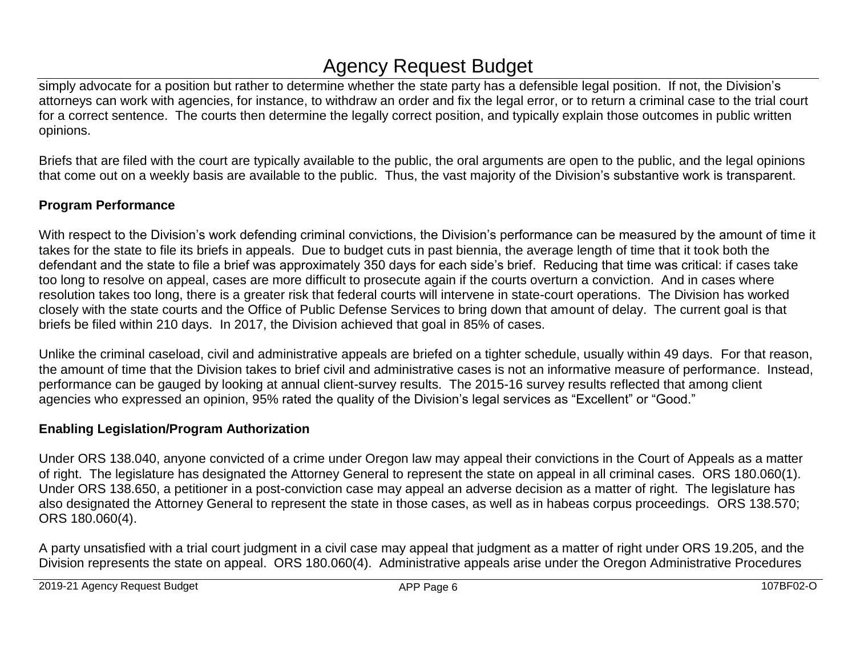simply advocate for a position but rather to determine whether the state party has a defensible legal position. If not, the Division's attorneys can work with agencies, for instance, to withdraw an order and fix the legal error, or to return a criminal case to the trial court for a correct sentence. The courts then determine the legally correct position, and typically explain those outcomes in public written opinions.

Briefs that are filed with the court are typically available to the public, the oral arguments are open to the public, and the legal opinions that come out on a weekly basis are available to the public. Thus, the vast majority of the Division's substantive work is transparent.

# **Program Performance**

With respect to the Division's work defending criminal convictions, the Division's performance can be measured by the amount of time it takes for the state to file its briefs in appeals. Due to budget cuts in past biennia, the average length of time that it took both the defendant and the state to file a brief was approximately 350 days for each side's brief. Reducing that time was critical: if cases take too long to resolve on appeal, cases are more difficult to prosecute again if the courts overturn a conviction. And in cases where resolution takes too long, there is a greater risk that federal courts will intervene in state-court operations. The Division has worked closely with the state courts and the Office of Public Defense Services to bring down that amount of delay. The current goal is that briefs be filed within 210 days. In 2017, the Division achieved that goal in 85% of cases.

Unlike the criminal caseload, civil and administrative appeals are briefed on a tighter schedule, usually within 49 days. For that reason, the amount of time that the Division takes to brief civil and administrative cases is not an informative measure of performance. Instead, performance can be gauged by looking at annual client-survey results. The 2015-16 survey results reflected that among client agencies who expressed an opinion, 95% rated the quality of the Division's legal services as "Excellent" or "Good."

## **Enabling Legislation/Program Authorization**

Under ORS 138.040, anyone convicted of a crime under Oregon law may appeal their convictions in the Court of Appeals as a matter of right. The legislature has designated the Attorney General to represent the state on appeal in all criminal cases. ORS 180.060(1). Under ORS 138.650, a petitioner in a post-conviction case may appeal an adverse decision as a matter of right. The legislature has also designated the Attorney General to represent the state in those cases, as well as in habeas corpus proceedings. ORS 138.570; ORS 180.060(4).

A party unsatisfied with a trial court judgment in a civil case may appeal that judgment as a matter of right under ORS 19.205, and the Division represents the state on appeal. ORS 180.060(4). Administrative appeals arise under the Oregon Administrative Procedures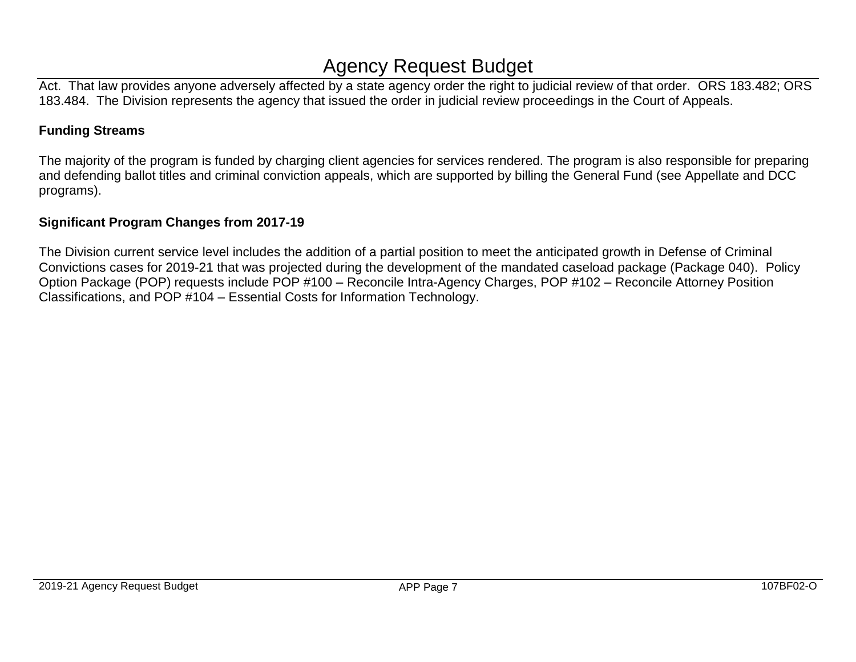Act. That law provides anyone adversely affected by a state agency order the right to judicial review of that order. ORS 183.482; ORS 183.484. The Division represents the agency that issued the order in judicial review proceedings in the Court of Appeals.

## **Funding Streams**

The majority of the program is funded by charging client agencies for services rendered. The program is also responsible for preparing and defending ballot titles and criminal conviction appeals, which are supported by billing the General Fund (see Appellate and DCC programs).

## **Significant Program Changes from 2017-19**

The Division current service level includes the addition of a partial position to meet the anticipated growth in Defense of Criminal Convictions cases for 2019-21 that was projected during the development of the mandated caseload package (Package 040). Policy Option Package (POP) requests include POP #100 – Reconcile Intra-Agency Charges, POP #102 – Reconcile Attorney Position Classifications, and POP #104 – Essential Costs for Information Technology.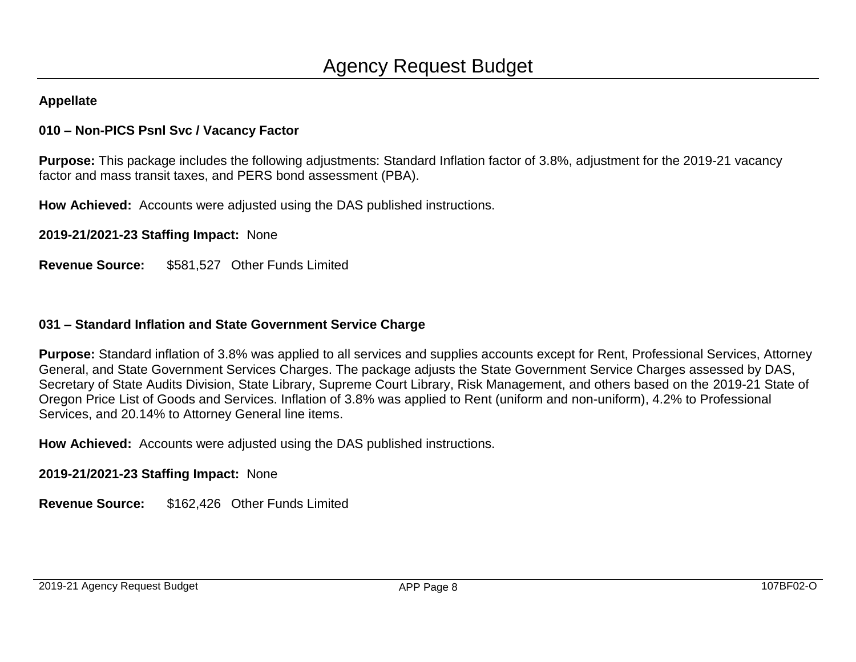# **010 – Non-PICS Psnl Svc / Vacancy Factor**

**Purpose:** This package includes the following adjustments: Standard Inflation factor of 3.8%, adjustment for the 2019-21 vacancy factor and mass transit taxes, and PERS bond assessment (PBA).

**How Achieved:** Accounts were adjusted using the DAS published instructions.

**2019-21/2021-23 Staffing Impact:** None

**Revenue Source:** \$581,527 Other Funds Limited

## **031 – Standard Inflation and State Government Service Charge**

**Purpose:** Standard inflation of 3.8% was applied to all services and supplies accounts except for Rent, Professional Services, Attorney General, and State Government Services Charges. The package adjusts the State Government Service Charges assessed by DAS, Secretary of State Audits Division, State Library, Supreme Court Library, Risk Management, and others based on the 2019-21 State of Oregon Price List of Goods and Services. Inflation of 3.8% was applied to Rent (uniform and non-uniform), 4.2% to Professional Services, and 20.14% to Attorney General line items.

**How Achieved:** Accounts were adjusted using the DAS published instructions.

**2019-21/2021-23 Staffing Impact:** None

**Revenue Source:** \$162,426 Other Funds Limited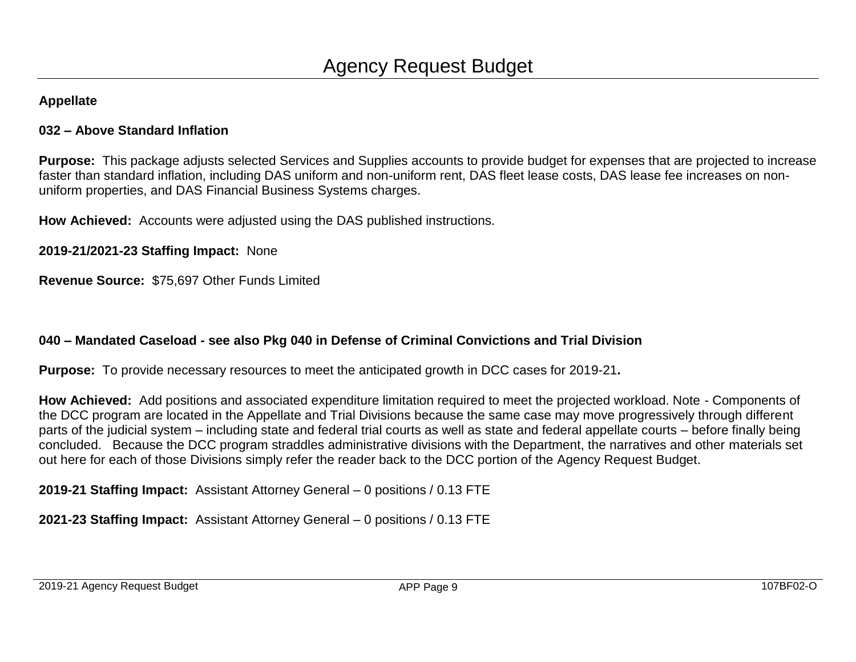## **032 – Above Standard Inflation**

**Purpose:** This package adjusts selected Services and Supplies accounts to provide budget for expenses that are projected to increase faster than standard inflation, including DAS uniform and non-uniform rent, DAS fleet lease costs, DAS lease fee increases on nonuniform properties, and DAS Financial Business Systems charges.

**How Achieved:** Accounts were adjusted using the DAS published instructions.

**2019-21/2021-23 Staffing Impact:** None

**Revenue Source:** \$75,697 Other Funds Limited

# **040 – Mandated Caseload - see also Pkg 040 in Defense of Criminal Convictions and Trial Division**

**Purpose:** To provide necessary resources to meet the anticipated growth in DCC cases for 2019-21**.**

**How Achieved:** Add positions and associated expenditure limitation required to meet the projected workload. Note - Components of the DCC program are located in the Appellate and Trial Divisions because the same case may move progressively through different parts of the judicial system – including state and federal trial courts as well as state and federal appellate courts – before finally being concluded. Because the DCC program straddles administrative divisions with the Department, the narratives and other materials set out here for each of those Divisions simply refer the reader back to the DCC portion of the Agency Request Budget.

**2019-21 Staffing Impact:** Assistant Attorney General – 0 positions / 0.13 FTE

**2021-23 Staffing Impact:** Assistant Attorney General – 0 positions / 0.13 FTE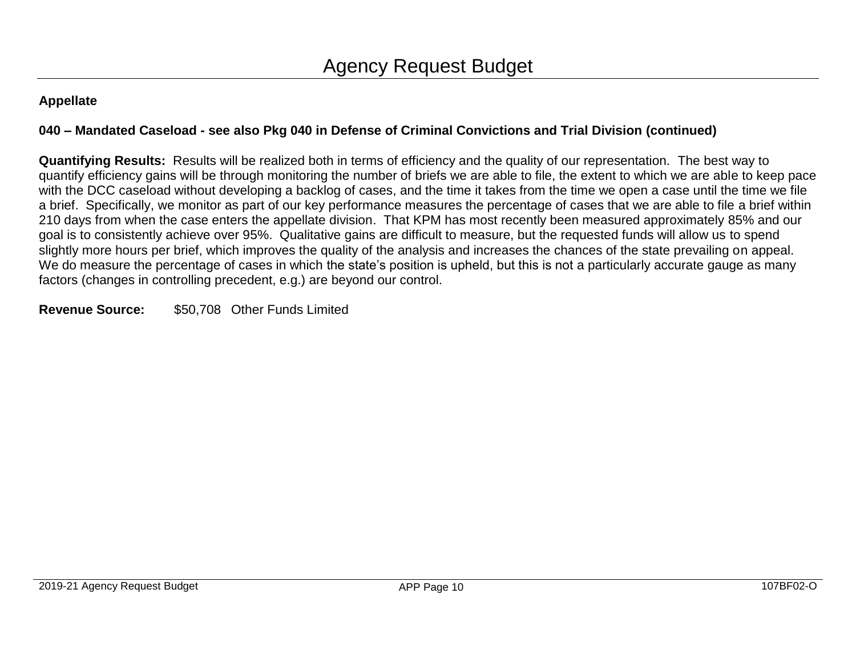# **040 – Mandated Caseload - see also Pkg 040 in Defense of Criminal Convictions and Trial Division (continued)**

**Quantifying Results:** Results will be realized both in terms of efficiency and the quality of our representation. The best way to quantify efficiency gains will be through monitoring the number of briefs we are able to file, the extent to which we are able to keep pace with the DCC caseload without developing a backlog of cases, and the time it takes from the time we open a case until the time we file a brief. Specifically, we monitor as part of our key performance measures the percentage of cases that we are able to file a brief within 210 days from when the case enters the appellate division. That KPM has most recently been measured approximately 85% and our goal is to consistently achieve over 95%. Qualitative gains are difficult to measure, but the requested funds will allow us to spend slightly more hours per brief, which improves the quality of the analysis and increases the chances of the state prevailing on appeal. We do measure the percentage of cases in which the state's position is upheld, but this is not a particularly accurate gauge as many factors (changes in controlling precedent, e.g.) are beyond our control.

## **Revenue Source:** \$50,708 Other Funds Limited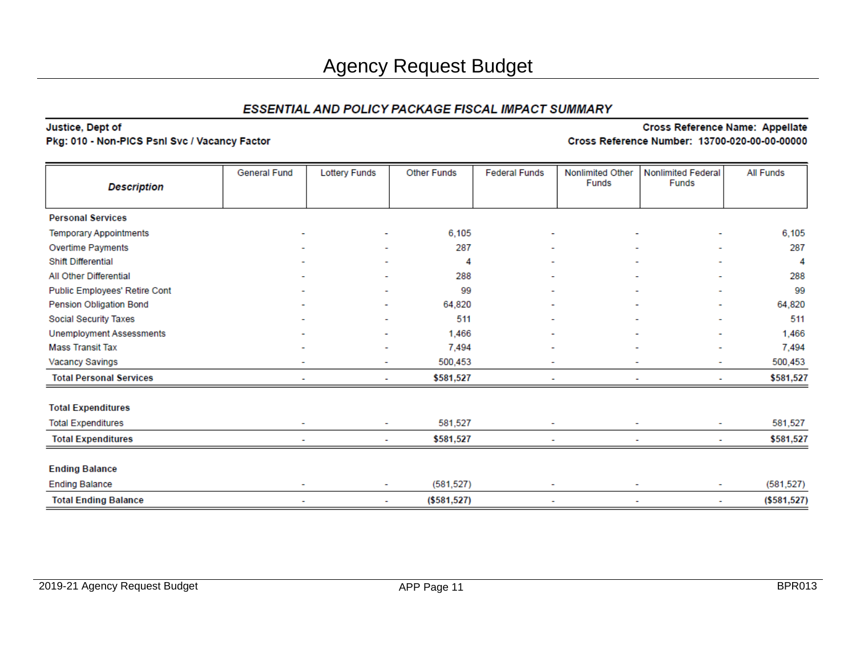### Justice, Dept of

#### Pkg: 010 - Non-PICS Psnl Svc / Vacancy Factor

|                                 | General Fund | <b>Lottery Funds</b> | <b>Other Funds</b> | <b>Federal Funds</b> | Nonlimited Other | <b>Nonlimited Federal</b> | <b>All Funds</b> |
|---------------------------------|--------------|----------------------|--------------------|----------------------|------------------|---------------------------|------------------|
| <b>Description</b>              |              |                      |                    |                      | Funds            | <b>Funds</b>              |                  |
|                                 |              |                      |                    |                      |                  |                           |                  |
| <b>Personal Services</b>        |              |                      |                    |                      |                  |                           |                  |
| <b>Temporary Appointments</b>   |              |                      | 6.105              |                      |                  |                           | 6,105            |
| Overtime Payments               |              |                      | 287                |                      |                  |                           | 287              |
| Shift Differential              |              |                      | 4                  |                      |                  |                           | 4                |
| All Other Differential          |              |                      | 288                |                      |                  |                           | 288              |
| Public Employees' Retire Cont   |              |                      | 99                 |                      |                  | $\overline{\phantom{a}}$  | 99               |
| Pension Obligation Bond         |              |                      | 64,820             |                      |                  |                           | 64,820           |
| <b>Social Security Taxes</b>    |              |                      | 511                |                      |                  | ٠                         | 511              |
| <b>Unemployment Assessments</b> |              |                      | 1,466              |                      |                  |                           | 1,466            |
| <b>Mass Transit Tax</b>         |              |                      | 7.494              |                      |                  | ۰                         | 7,494            |
| Vacancy Savings                 |              |                      | 500,453            |                      |                  | ٠                         | 500,453          |
| <b>Total Personal Services</b>  |              |                      | \$581,527          |                      |                  |                           | \$581,527        |
| <b>Total Expenditures</b>       |              |                      |                    |                      |                  |                           |                  |
| <b>Total Expenditures</b>       | ٠            | ٠                    | 581,527            |                      |                  | ۰                         | 581,527          |
| <b>Total Expenditures</b>       |              |                      | \$581,527          |                      |                  |                           | \$581,527        |
| <b>Ending Balance</b>           |              |                      |                    |                      |                  |                           |                  |
| <b>Ending Balance</b>           |              | ٠                    | (581, 527)         |                      |                  | ٠                         | (581, 527)       |
| <b>Total Ending Balance</b>     | ٠            | ٠                    | (\$581,527)        | ٠                    |                  | ۰                         | ( \$581, 527)    |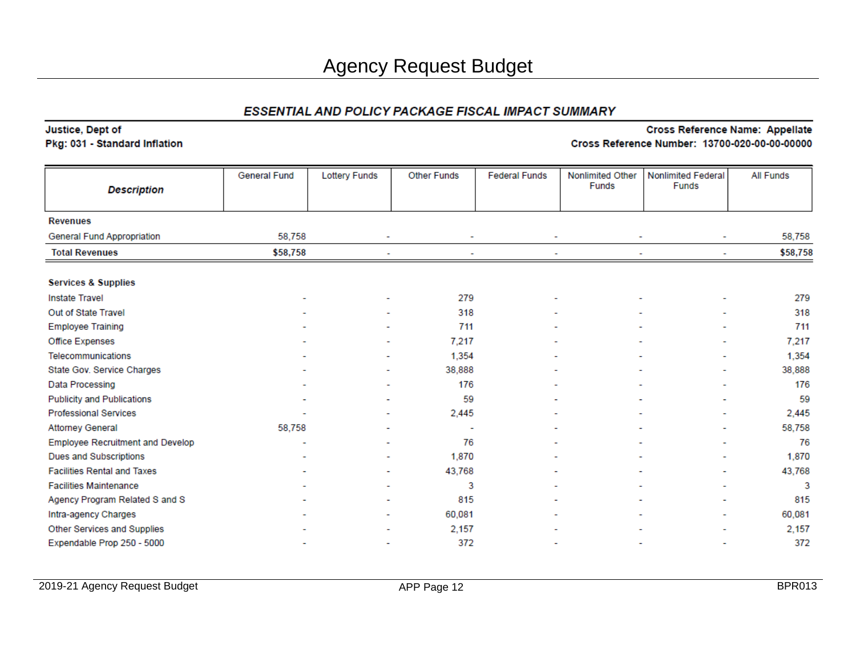#### Justice, Dept of

#### Pkg: 031 - Standard Inflation

| <b>Description</b>                      | <b>General Fund</b> | <b>Lottery Funds</b> | <b>Other Funds</b> | <b>Federal Funds</b> | <b>Nonlimited Other</b><br>Funds | <b>Nonlimited Federal</b><br><b>Funds</b> | <b>All Funds</b> |
|-----------------------------------------|---------------------|----------------------|--------------------|----------------------|----------------------------------|-------------------------------------------|------------------|
|                                         |                     |                      |                    |                      |                                  |                                           |                  |
| <b>Revenues</b>                         |                     |                      |                    |                      |                                  |                                           |                  |
| General Fund Appropriation              | 58,758              |                      | ۰                  |                      |                                  |                                           | 58,758           |
| <b>Total Revenues</b>                   | \$58,758            |                      |                    |                      |                                  |                                           | \$58,758         |
|                                         |                     |                      |                    |                      |                                  |                                           |                  |
| <b>Services &amp; Supplies</b>          |                     |                      |                    |                      |                                  |                                           |                  |
| <b>Instate Travel</b>                   |                     |                      | 279                |                      |                                  |                                           | 279              |
| Out of State Travel                     |                     |                      | 318                |                      |                                  |                                           | 318              |
| <b>Employee Training</b>                |                     |                      | 711                |                      |                                  |                                           | 711              |
| Office Expenses                         |                     |                      | 7,217              |                      |                                  | ٠                                         | 7,217            |
| Telecommunications                      |                     |                      | 1,354              |                      |                                  |                                           | 1,354            |
| State Gov. Service Charges              |                     |                      | 38,888             |                      |                                  |                                           | 38,888           |
| Data Processing                         |                     |                      | 176                |                      |                                  |                                           | 176              |
| <b>Publicity and Publications</b>       |                     |                      | 59                 |                      |                                  |                                           | 59               |
| <b>Professional Services</b>            |                     |                      | 2,445              |                      |                                  |                                           | 2,445            |
| <b>Attorney General</b>                 | 58,758              |                      |                    |                      |                                  |                                           | 58,758           |
| <b>Employee Recruitment and Develop</b> |                     |                      | 76                 |                      |                                  |                                           | 76               |
| Dues and Subscriptions                  |                     |                      | 1,870              |                      |                                  |                                           | 1,870            |
| <b>Facilities Rental and Taxes</b>      |                     |                      | 43,768             |                      |                                  |                                           | 43,768           |
| <b>Facilities Maintenance</b>           |                     |                      | 3                  |                      |                                  | $\overline{a}$                            | 3                |
| Agency Program Related S and S          |                     |                      | 815                |                      |                                  |                                           | 815              |
| Intra-agency Charges                    |                     |                      | 60,081             |                      |                                  |                                           | 60,081           |
| Other Services and Supplies             |                     |                      | 2,157              |                      |                                  |                                           | 2,157            |
| Expendable Prop 250 - 5000              |                     |                      | 372                |                      |                                  |                                           | 372              |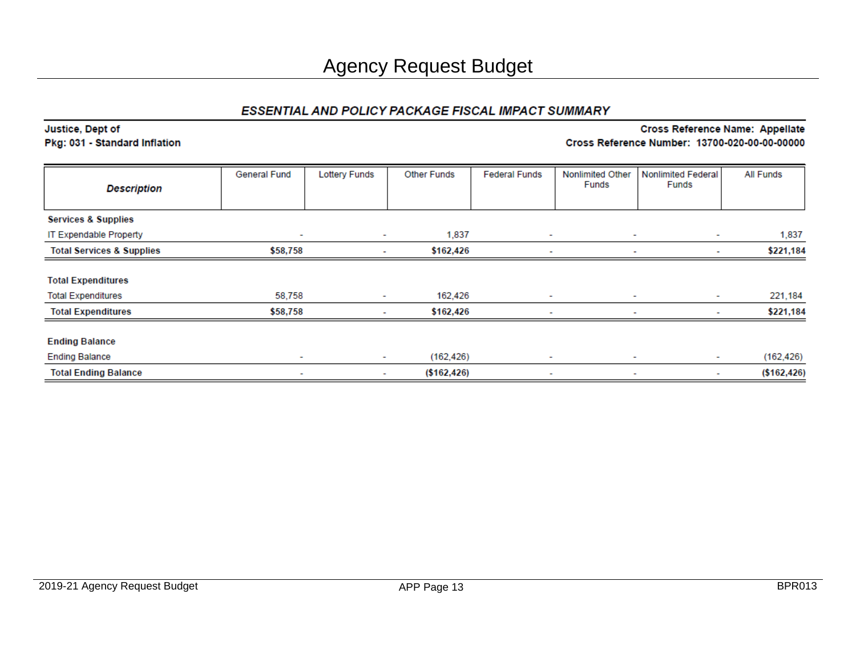### Justice, Dept of

#### Pkg: 031 - Standard Inflation

| <b>Description</b>                                     | <b>General Fund</b>      | <b>Lottery Funds</b> | <b>Other Funds</b> | <b>Federal Funds</b>     | <b>Nonlimited Other</b><br><b>Funds</b> | <b>Nonlimited Federal</b><br><b>Funds</b> | <b>All Funds</b> |
|--------------------------------------------------------|--------------------------|----------------------|--------------------|--------------------------|-----------------------------------------|-------------------------------------------|------------------|
| <b>Services &amp; Supplies</b>                         |                          |                      |                    |                          |                                         |                                           |                  |
| IT Expendable Property                                 | $\overline{\phantom{a}}$ | ٠                    | 1,837              | ٠                        | $\overline{\phantom{a}}$                | ٠                                         | 1,837            |
| <b>Total Services &amp; Supplies</b>                   | \$58,758                 | $\sim$               | \$162,426          | ٠                        | $\overline{\phantom{a}}$                | ۰                                         | \$221,184        |
| <b>Total Expenditures</b><br><b>Total Expenditures</b> | 58,758                   | $\sim$               | 162,426            | ٠                        | $\overline{\phantom{a}}$                | $\sim$                                    | 221,184          |
| <b>Total Expenditures</b>                              | \$58,758                 | ٠                    | \$162,426          | $\overline{\phantom{a}}$ |                                         | ٠                                         | \$221,184        |
| <b>Ending Balance</b>                                  |                          |                      |                    |                          |                                         |                                           |                  |
| <b>Ending Balance</b>                                  | $\sim$                   | ۰.                   | (162, 426)         | ۰                        | $\sim$                                  | ۰.                                        | (162, 426)       |
| <b>Total Ending Balance</b>                            | ۰                        | $\sim$               | ( \$162, 426)      | $\sim$                   | $\overline{\phantom{a}}$                | ٠                                         | ( \$162, 426)    |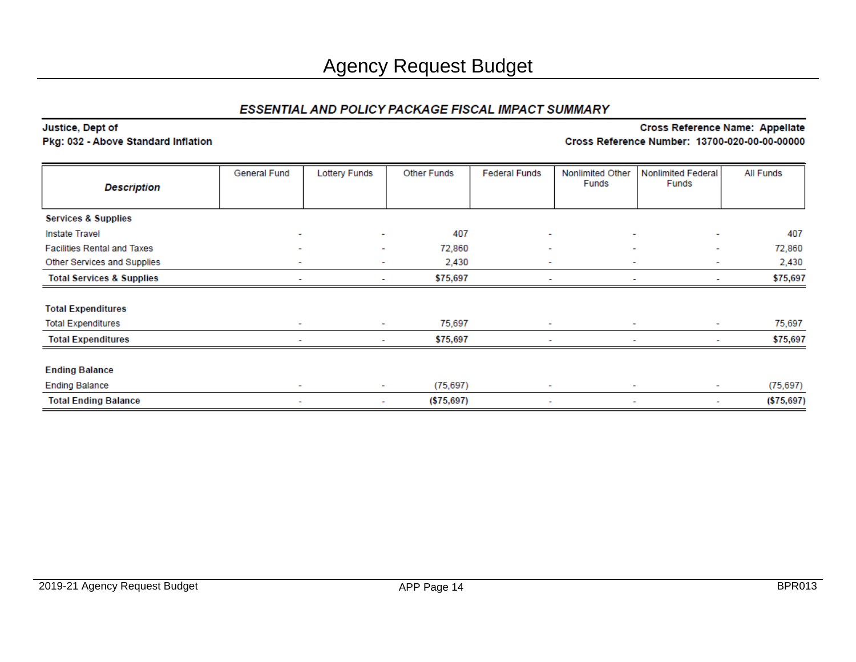#### Justice, Dept of Pkg: 032 - Above Standard Inflation

| <b>Description</b>                   | General Fund             | <b>Lottery Funds</b>     | <b>Other Funds</b> | <b>Federal Funds</b>                                 | Nonlimited Other<br>Funds     | <b>Nonlimited Federal</b><br>Funds | All Funds   |
|--------------------------------------|--------------------------|--------------------------|--------------------|------------------------------------------------------|-------------------------------|------------------------------------|-------------|
|                                      |                          |                          |                    |                                                      |                               |                                    |             |
| <b>Services &amp; Supplies</b>       |                          |                          |                    |                                                      |                               |                                    |             |
| <b>Instate Travel</b>                | $\sim$                   | ٠                        | 407                | $\sim$                                               | $\sim$                        | $\sim$                             | 407         |
| <b>Facilities Rental and Taxes</b>   | $\sim$                   | $\overline{\phantom{a}}$ | 72,860             | $\overline{\phantom{a}}$                             | $\overline{\phantom{a}}$      | ۰                                  | 72,860      |
| Other Services and Supplies          | $\overline{\phantom{a}}$ | $\overline{\phantom{a}}$ | 2,430              | $\overline{\phantom{a}}$                             | $\overline{\phantom{a}}$      | $\sim$                             | 2,430       |
| <b>Total Services &amp; Supplies</b> | $\overline{\phantom{a}}$ | $\sim$                   | \$75,697           | $\overline{\phantom{a}}$<br>$\overline{\phantom{a}}$ |                               | $\sim$                             | \$75,697    |
| <b>Total Expenditures</b>            |                          |                          |                    |                                                      |                               |                                    |             |
| <b>Total Expenditures</b>            | $\overline{\phantom{a}}$ | $\sim$                   | 75,697             | ٠                                                    | $\overline{\phantom{a}}$      | ٠                                  | 75,697      |
| <b>Total Expenditures</b>            | $\overline{\phantom{a}}$ | ٠                        | \$75,697           | $\overline{\phantom{a}}$                             | ٠                             | ۰                                  | \$75,697    |
| <b>Ending Balance</b>                |                          |                          |                    |                                                      |                               |                                    |             |
| <b>Ending Balance</b>                | $\sim$                   | $\sim$                   | (75, 697)          | $\sim$                                               | $\overline{\phantom{a}}$      | $\sim$                             | (75, 697)   |
| <b>Total Ending Balance</b>          | $\overline{\phantom{a}}$ | $\sim$                   | ( \$75,697)        | ٠                                                    | $\overline{\phantom{a}}$<br>۰ |                                    | ( \$75,697) |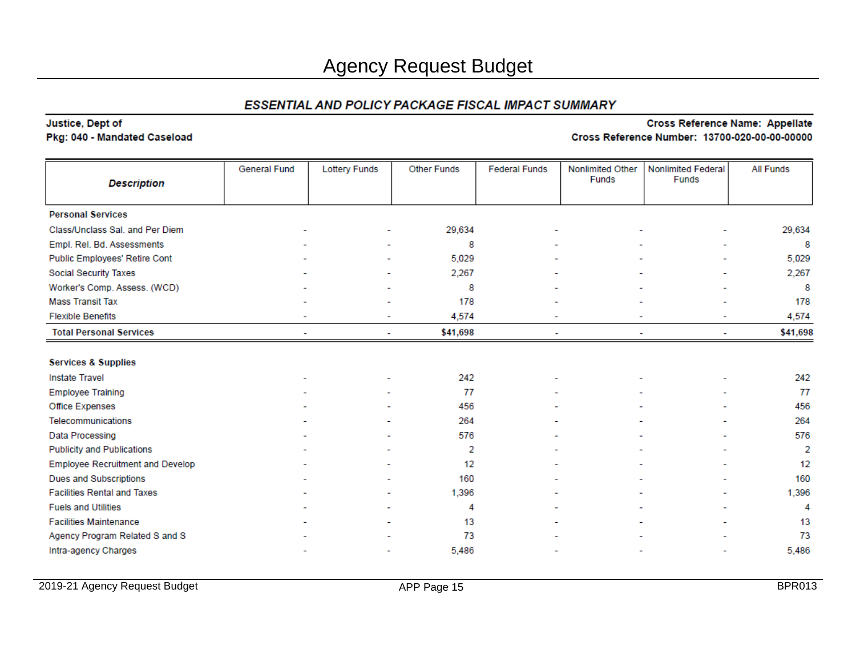# Justice, Dept of

#### Pkg: 040 - Mandated Caseload

| <b>Description</b>                      | <b>General Fund</b> | <b>Lottery Funds</b> | <b>Other Funds</b> | <b>Federal Funds</b> | Nonlimited Other<br>Funds | <b>Nonlimited Federal</b><br><b>Funds</b> | <b>All Funds</b> |
|-----------------------------------------|---------------------|----------------------|--------------------|----------------------|---------------------------|-------------------------------------------|------------------|
| <b>Personal Services</b>                |                     |                      |                    |                      |                           |                                           |                  |
| Class/Unclass Sal. and Per Diem         |                     |                      | 29,634             |                      |                           |                                           | 29,634           |
| Empl. Rel. Bd. Assessments              |                     |                      | 8                  |                      |                           |                                           | 8                |
| Public Employees' Retire Cont           |                     |                      | 5,029              |                      |                           |                                           | 5,029            |
| Social Security Taxes                   |                     |                      | 2,267              |                      |                           |                                           | 2,267            |
| Worker's Comp. Assess. (WCD)            |                     |                      | 8                  |                      |                           |                                           | 8                |
| <b>Mass Transit Tax</b>                 |                     |                      | 178                |                      |                           |                                           | 178              |
| <b>Flexible Benefits</b>                |                     |                      | 4,574              |                      |                           |                                           | 4,574            |
| <b>Total Personal Services</b>          |                     |                      | \$41,698           |                      |                           |                                           | \$41,698         |
|                                         |                     |                      |                    |                      |                           |                                           |                  |
| <b>Services &amp; Supplies</b>          |                     |                      |                    |                      |                           |                                           |                  |
| <b>Instate Travel</b>                   |                     |                      | 242                |                      |                           |                                           | 242              |
| <b>Employee Training</b>                |                     |                      | 77                 |                      |                           |                                           | 77               |
| Office Expenses                         |                     |                      | 456                |                      |                           |                                           | 456              |
| Telecommunications                      |                     |                      | 264                |                      |                           |                                           | 264              |
| Data Processing                         |                     |                      | 576                |                      |                           |                                           | 576              |
| <b>Publicity and Publications</b>       |                     |                      | 2                  |                      |                           |                                           | 2                |
| <b>Employee Recruitment and Develop</b> |                     |                      | 12                 |                      |                           |                                           | 12               |
| <b>Dues and Subscriptions</b>           |                     |                      | 160                |                      |                           |                                           | 160              |
| <b>Facilities Rental and Taxes</b>      |                     |                      | 1,396              |                      |                           |                                           | 1,396            |
| <b>Fuels and Utilities</b>              |                     |                      | 4                  |                      |                           |                                           | 4                |
| <b>Facilities Maintenance</b>           |                     |                      | 13                 |                      |                           |                                           | 13               |
| Agency Program Related S and S          |                     |                      | 73                 |                      |                           |                                           | 73               |
| Intra-agency Charges                    |                     |                      | 5,486              |                      |                           |                                           | 5,486            |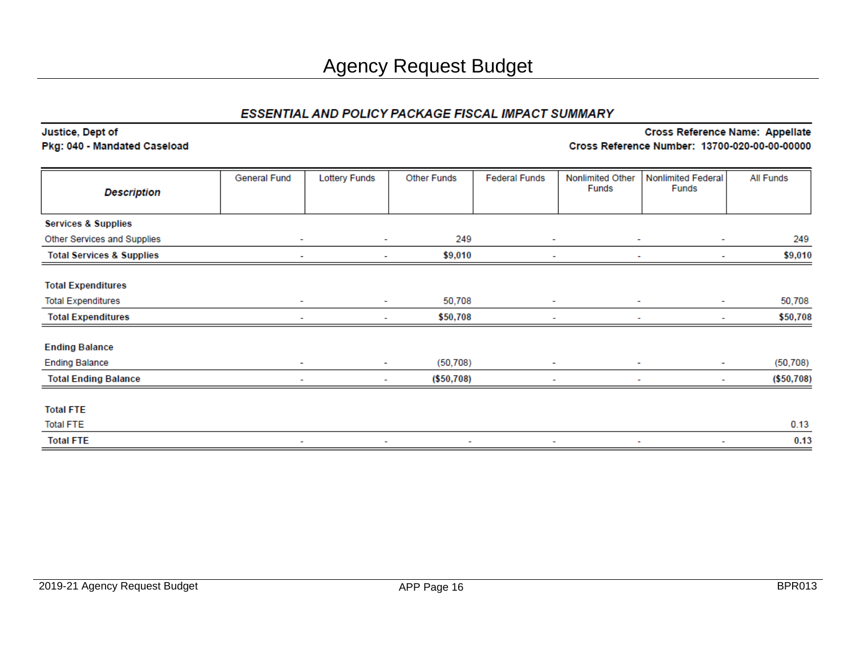#### Justice, Dept of Pkg: 040 - Mandated Caseload

| <b>Description</b>                   | General Fund             | <b>Lottery Funds</b> | <b>Other Funds</b> | <b>Federal Funds</b>     | Nonlimited Other<br>Funds | <b>Nonlimited Federal</b><br><b>Funds</b> | <b>All Funds</b> |
|--------------------------------------|--------------------------|----------------------|--------------------|--------------------------|---------------------------|-------------------------------------------|------------------|
|                                      |                          |                      |                    |                          |                           |                                           |                  |
| <b>Services &amp; Supplies</b>       |                          |                      |                    |                          |                           |                                           |                  |
| Other Services and Supplies          | $\overline{\phantom{a}}$ | $\sim$               | 249                | $\sim$                   | $\sim$                    | ۰                                         | 249              |
| <b>Total Services &amp; Supplies</b> |                          |                      | \$9,010            | $\overline{\phantom{0}}$ |                           | ٠                                         | \$9,010          |
| <b>Total Expenditures</b>            |                          |                      |                    |                          |                           |                                           |                  |
| <b>Total Expenditures</b>            | ٠                        | $\sim$               | 50,708             | $\sim$                   |                           | ٠                                         | 50,708           |
| <b>Total Expenditures</b>            | ٠                        | ٠                    | \$50,708           | ٠                        | $\overline{\phantom{a}}$  | ۰                                         | \$50,708         |
| <b>Ending Balance</b>                |                          |                      |                    |                          |                           |                                           |                  |
| <b>Ending Balance</b>                | $\overline{\phantom{a}}$ | $\sim$               | (50, 708)          | ۰                        | $\sim$                    | ۰                                         | (50, 708)        |
| <b>Total Ending Balance</b>          | ٠                        | $\sim$               | (\$50,708)         | $\sim$                   | $\overline{\phantom{a}}$  | ٠                                         | (\$50,708)       |
| <b>Total FTE</b>                     |                          |                      |                    |                          |                           |                                           |                  |
| <b>Total FTE</b>                     |                          |                      |                    |                          |                           |                                           | 0.13             |
| <b>Total FTE</b>                     | ۰                        | ۰                    | ۰                  | ٠                        |                           | ۰                                         | 0.13             |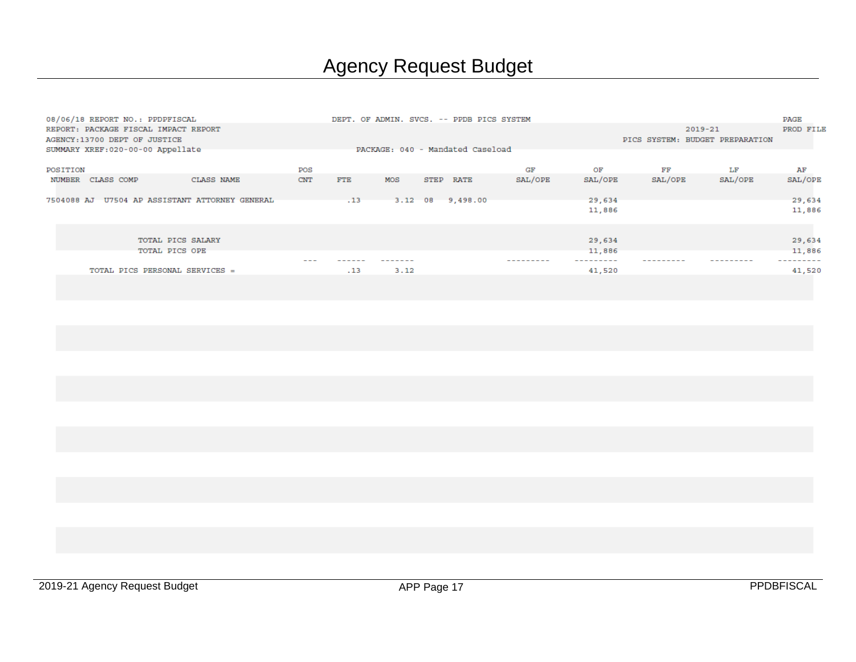|          | 08/06/18 REPORT NO.: PPDPFISCAL                |            |            |                                  |      |      | DEPT. OF ADMIN. SVCS. -- PPDB PICS SYSTEM |         |         |                                 |         | PAGE      |
|----------|------------------------------------------------|------------|------------|----------------------------------|------|------|-------------------------------------------|---------|---------|---------------------------------|---------|-----------|
|          | REPORT: PACKAGE FISCAL IMPACT REPORT           |            |            |                                  |      |      |                                           |         |         |                                 | 2019-21 | PROD FILE |
|          | AGENCY: 13700 DEPT OF JUSTICE                  |            |            |                                  |      |      |                                           |         |         | PICS SYSTEM: BUDGET PREPARATION |         |           |
|          | SUMMARY XREF: 020-00-00 Appellate              |            |            | PACKAGE: 040 - Mandated Caseload |      |      |                                           |         |         |                                 |         |           |
|          |                                                |            |            |                                  |      |      |                                           |         |         |                                 |         |           |
| POSITION |                                                |            | POS        |                                  |      |      |                                           | GF      | ОF      | FF                              | LF      | AF        |
| NUMBER   | CLASS COMP                                     | CLASS NAME | <b>CNT</b> | <b>FTE</b>                       | MOS  | STEP | <b>RATE</b>                               | SAL/OPE | SAL/OPE | SAL/OPE                         | SAL/OPE | SAL/OPE   |
|          |                                                |            |            |                                  |      |      |                                           |         |         |                                 |         |           |
|          | 7504088 AJ U7504 AP ASSISTANT ATTORNEY GENERAL |            |            | .13                              |      |      | 3.12 08 9,498.00                          |         | 29,634  |                                 |         | 29,634    |
|          |                                                |            |            |                                  |      |      |                                           |         | 11,886  |                                 |         | 11,886    |
|          |                                                |            |            |                                  |      |      |                                           |         |         |                                 |         |           |
|          |                                                |            |            |                                  |      |      |                                           |         |         |                                 |         |           |
|          | TOTAL PICS SALARY                              |            |            |                                  |      |      |                                           |         | 29,634  |                                 |         | 29,634    |
|          | TOTAL PICS OPE                                 |            |            |                                  |      |      |                                           |         | 11,886  |                                 |         | 11,886    |
|          |                                                |            |            |                                  |      |      |                                           |         |         |                                 |         |           |
|          | TOTAL PICS PERSONAL SERVICES =                 |            |            | .13                              | 3.12 |      |                                           |         | 41,520  |                                 |         | 41,520    |
|          |                                                |            |            |                                  |      |      |                                           |         |         |                                 |         |           |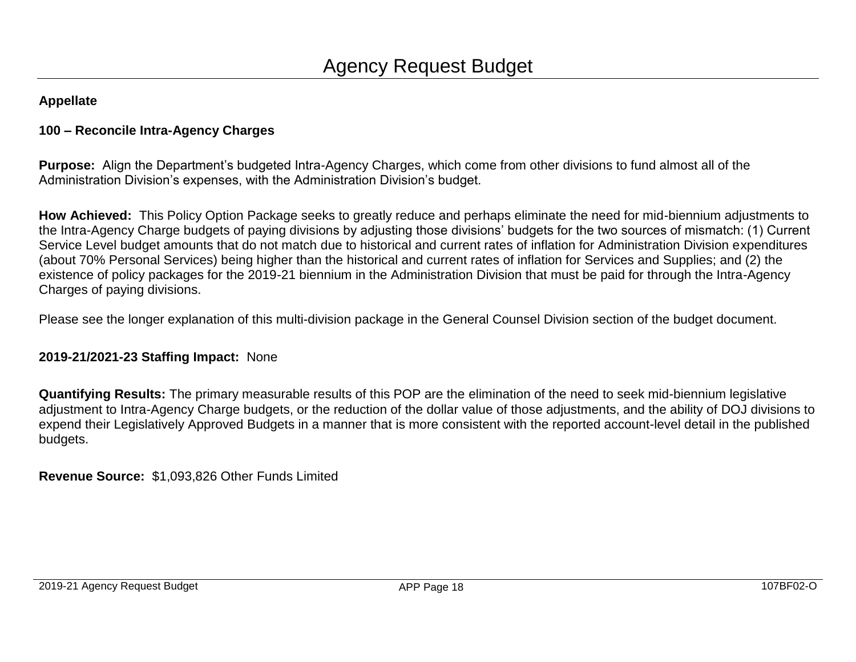# **100 – Reconcile Intra-Agency Charges**

**Purpose:** Align the Department's budgeted Intra-Agency Charges, which come from other divisions to fund almost all of the Administration Division's expenses, with the Administration Division's budget.

**How Achieved:** This Policy Option Package seeks to greatly reduce and perhaps eliminate the need for mid-biennium adjustments to the Intra-Agency Charge budgets of paying divisions by adjusting those divisions' budgets for the two sources of mismatch: (1) Current Service Level budget amounts that do not match due to historical and current rates of inflation for Administration Division expenditures (about 70% Personal Services) being higher than the historical and current rates of inflation for Services and Supplies; and (2) the existence of policy packages for the 2019-21 biennium in the Administration Division that must be paid for through the Intra-Agency Charges of paying divisions.

Please see the longer explanation of this multi-division package in the General Counsel Division section of the budget document.

## **2019-21/2021-23 Staffing Impact:** None

**Quantifying Results:** The primary measurable results of this POP are the elimination of the need to seek mid-biennium legislative adjustment to Intra-Agency Charge budgets, or the reduction of the dollar value of those adjustments, and the ability of DOJ divisions to expend their Legislatively Approved Budgets in a manner that is more consistent with the reported account-level detail in the published budgets.

**Revenue Source:** \$1,093,826 Other Funds Limited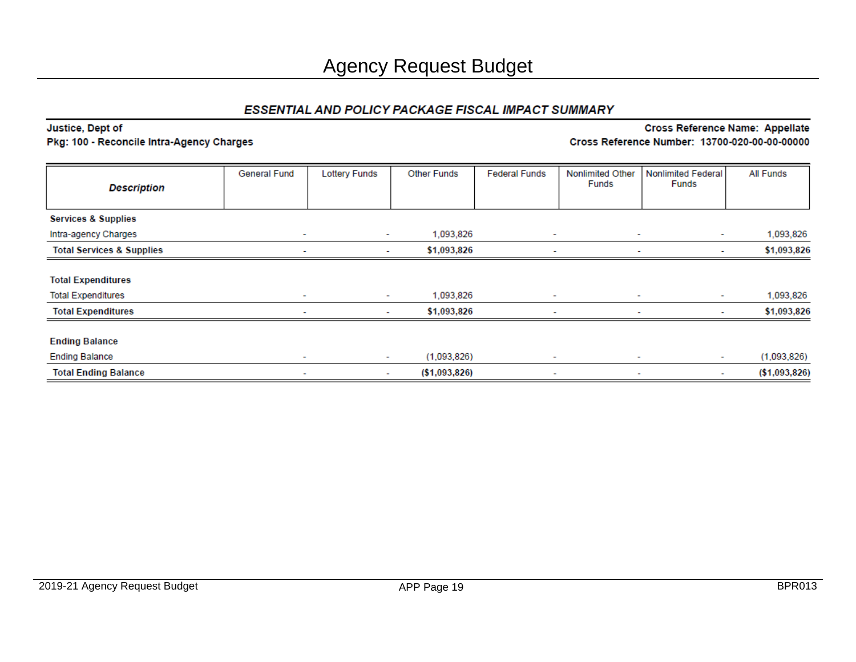#### Justice, Dept of **Cross Reference Name: Appellate** Pkg: 100 - Reconcile Intra-Agency Charges Cross Reference Number: 13700-020-00-00-00000

| <b>Description</b>                   | <b>General Fund</b>      | <b>Lottery Funds</b> | <b>Other Funds</b> | <b>Federal Funds</b>     | <b>Nonlimited Other</b><br>Funds | <b>Nonlimited Federal</b><br>Funds | All Funds      |
|--------------------------------------|--------------------------|----------------------|--------------------|--------------------------|----------------------------------|------------------------------------|----------------|
| <b>Services &amp; Supplies</b>       |                          |                      |                    |                          |                                  |                                    |                |
| Intra-agency Charges                 | $\overline{\phantom{a}}$ | $\sim$               | 1,093,826          | $\overline{\phantom{a}}$ | ٠                                | $\sim$                             | 1,093,826      |
| <b>Total Services &amp; Supplies</b> | $\overline{\phantom{a}}$ | $\sim$               | \$1,093,826        | $\overline{\phantom{a}}$ | $\overline{\phantom{a}}$         | ۰                                  | \$1,093,826    |
|                                      |                          |                      |                    |                          |                                  |                                    |                |
| <b>Total Expenditures</b>            |                          |                      |                    |                          |                                  |                                    |                |
| <b>Total Expenditures</b>            | $\sim$                   | $\sim$               | 1,093,826          | $\overline{\phantom{a}}$ | $\overline{\phantom{a}}$         | $\sim$                             | 1,093,826      |
| <b>Total Expenditures</b>            |                          | $\sim$               | \$1,093,826        | $\overline{\phantom{a}}$ |                                  | ۰.                                 | \$1,093,826    |
| <b>Ending Balance</b>                |                          |                      |                    |                          |                                  |                                    |                |
| <b>Ending Balance</b>                | $\sim$                   | $\sim$               | (1,093,826)        | ٠                        | ٠                                | $\sim$                             | (1,093,826)    |
| <b>Total Ending Balance</b>          | ۰                        | ۰.                   | ( \$1,093,826)     | $\sim$                   | ۰                                | ۰.                                 | ( \$1,093,826) |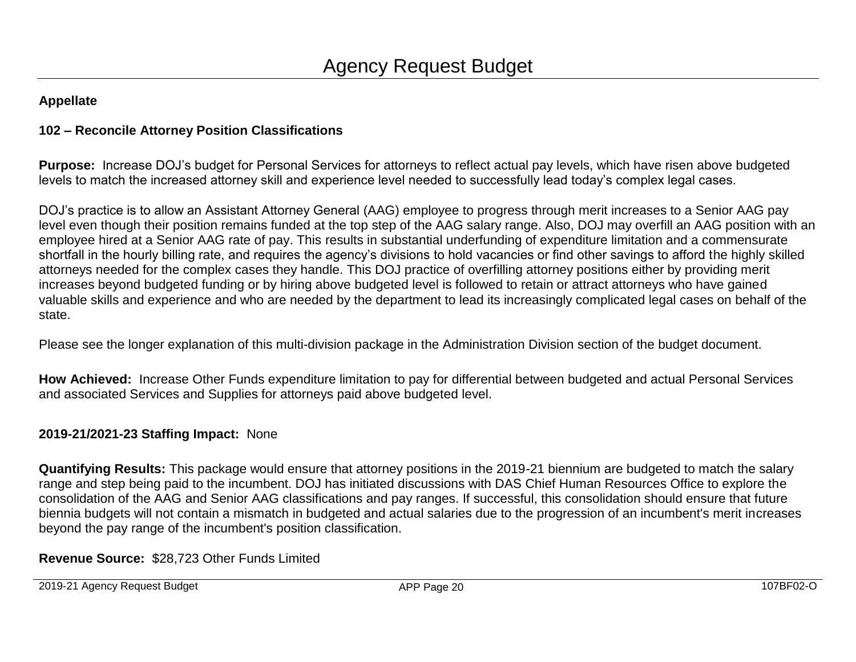# **102 – Reconcile Attorney Position Classifications**

**Purpose:** Increase DOJ's budget for Personal Services for attorneys to reflect actual pay levels, which have risen above budgeted levels to match the increased attorney skill and experience level needed to successfully lead today's complex legal cases.

DOJ's practice is to allow an Assistant Attorney General (AAG) employee to progress through merit increases to a Senior AAG pay level even though their position remains funded at the top step of the AAG salary range. Also, DOJ may overfill an AAG position with an employee hired at a Senior AAG rate of pay. This results in substantial underfunding of expenditure limitation and a commensurate shortfall in the hourly billing rate, and requires the agency's divisions to hold vacancies or find other savings to afford the highly skilled attorneys needed for the complex cases they handle. This DOJ practice of overfilling attorney positions either by providing merit increases beyond budgeted funding or by hiring above budgeted level is followed to retain or attract attorneys who have gained valuable skills and experience and who are needed by the department to lead its increasingly complicated legal cases on behalf of the state.

Please see the longer explanation of this multi-division package in the Administration Division section of the budget document.

**How Achieved:** Increase Other Funds expenditure limitation to pay for differential between budgeted and actual Personal Services and associated Services and Supplies for attorneys paid above budgeted level.

## **2019-21/2021-23 Staffing Impact:** None

**Quantifying Results:** This package would ensure that attorney positions in the 2019-21 biennium are budgeted to match the salary range and step being paid to the incumbent. DOJ has initiated discussions with DAS Chief Human Resources Office to explore the consolidation of the AAG and Senior AAG classifications and pay ranges. If successful, this consolidation should ensure that future biennia budgets will not contain a mismatch in budgeted and actual salaries due to the progression of an incumbent's merit increases beyond the pay range of the incumbent's position classification.

**Revenue Source:** \$28,723 Other Funds Limited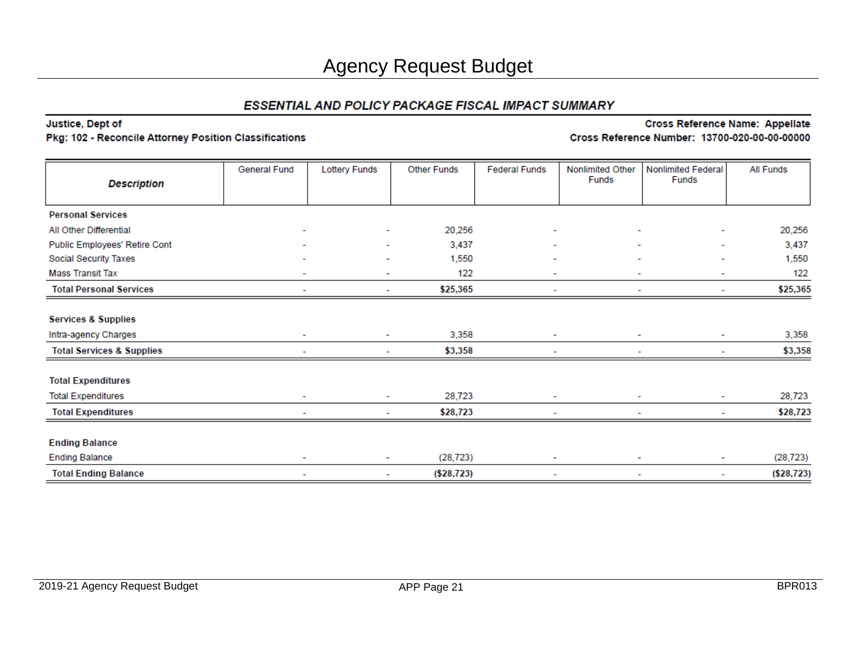## Justice, Dept of

### Pkg: 102 - Reconcile Attorney Position Classifications

|                                      | General Fund             | <b>Lottery Funds</b> | <b>Other Funds</b> | <b>Federal Funds</b> | Nonlimited Other         | <b>Nonlimited Federal</b> | <b>All Funds</b> |
|--------------------------------------|--------------------------|----------------------|--------------------|----------------------|--------------------------|---------------------------|------------------|
| <b>Description</b>                   |                          |                      |                    |                      | Funds                    | <b>Funds</b>              |                  |
|                                      |                          |                      |                    |                      |                          |                           |                  |
| <b>Personal Services</b>             |                          |                      |                    |                      |                          |                           |                  |
| All Other Differential               |                          | ۰                    | 20,256             | ۰                    |                          |                           | 20,256           |
| Public Employees' Retire Cont        |                          | ٠                    | 3,437              | ٠                    | ٠                        | $\overline{\phantom{0}}$  | 3,437            |
| Social Security Taxes                |                          |                      | 1,550              |                      |                          |                           | 1,550            |
| <b>Mass Transit Tax</b>              |                          | ۰                    | 122                | ۰                    | ٠                        | ۰                         | 122              |
| <b>Total Personal Services</b>       |                          |                      | \$25,365           |                      |                          |                           | \$25,365         |
|                                      |                          |                      |                    |                      |                          |                           |                  |
| <b>Services &amp; Supplies</b>       |                          |                      |                    |                      |                          |                           |                  |
| Intra-agency Charges                 | $\sim$                   | ۰                    | 3,358              | ٠                    | ٠                        | ٠                         | 3,358            |
| <b>Total Services &amp; Supplies</b> |                          |                      | \$3,358            |                      |                          | ٠                         | \$3,358          |
| <b>Total Expenditures</b>            |                          |                      |                    |                      |                          |                           |                  |
| <b>Total Expenditures</b>            | $\overline{\phantom{0}}$ | ٠                    | 28,723             | ٠                    | ٠                        | ٠                         | 28,723           |
| <b>Total Expenditures</b>            |                          |                      | \$28,723           |                      |                          | ۰                         | \$28,723         |
| <b>Ending Balance</b>                |                          |                      |                    |                      |                          |                           |                  |
| <b>Ending Balance</b>                | ٠<br>۰                   |                      | (28, 723)          | ۰                    | ۰                        | (28, 723)                 |                  |
| <b>Total Ending Balance</b>          | ۰                        | ۰                    | ( \$28, 723)       | $\blacksquare$       | $\overline{\phantom{a}}$ | ۰                         | ( \$28, 723)     |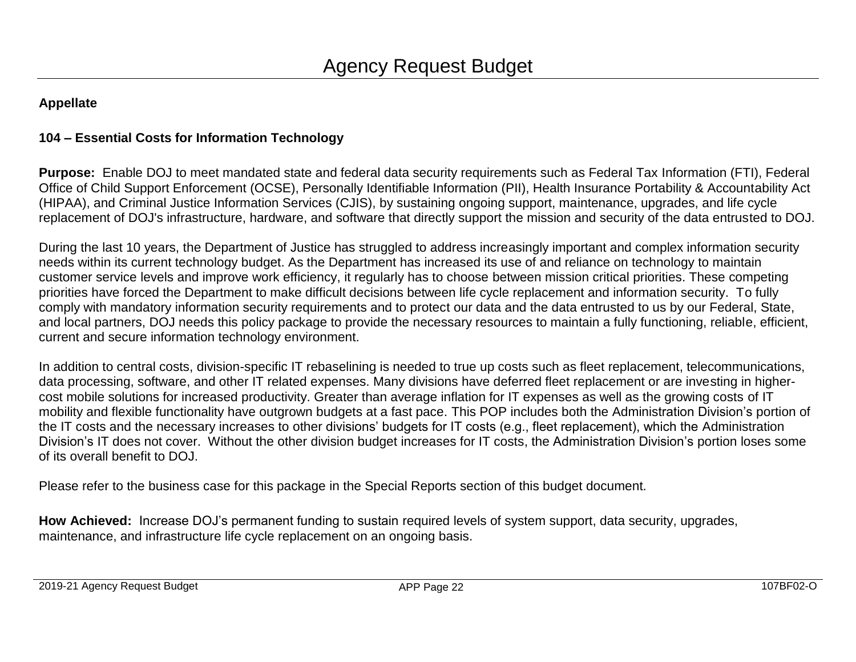# **104 – Essential Costs for Information Technology**

**Purpose:** Enable DOJ to meet mandated state and federal data security requirements such as Federal Tax Information (FTI), Federal Office of Child Support Enforcement (OCSE), Personally Identifiable Information (PII), Health Insurance Portability & Accountability Act (HIPAA), and Criminal Justice Information Services (CJIS), by sustaining ongoing support, maintenance, upgrades, and life cycle replacement of DOJ's infrastructure, hardware, and software that directly support the mission and security of the data entrusted to DOJ.

During the last 10 years, the Department of Justice has struggled to address increasingly important and complex information security needs within its current technology budget. As the Department has increased its use of and reliance on technology to maintain customer service levels and improve work efficiency, it regularly has to choose between mission critical priorities. These competing priorities have forced the Department to make difficult decisions between life cycle replacement and information security. To fully comply with mandatory information security requirements and to protect our data and the data entrusted to us by our Federal, State, and local partners, DOJ needs this policy package to provide the necessary resources to maintain a fully functioning, reliable, efficient, current and secure information technology environment.

In addition to central costs, division-specific IT rebaselining is needed to true up costs such as fleet replacement, telecommunications, data processing, software, and other IT related expenses. Many divisions have deferred fleet replacement or are investing in highercost mobile solutions for increased productivity. Greater than average inflation for IT expenses as well as the growing costs of IT mobility and flexible functionality have outgrown budgets at a fast pace. This POP includes both the Administration Division's portion of the IT costs and the necessary increases to other divisions' budgets for IT costs (e.g., fleet replacement), which the Administration Division's IT does not cover. Without the other division budget increases for IT costs, the Administration Division's portion loses some of its overall benefit to DOJ.

Please refer to the business case for this package in the Special Reports section of this budget document.

**How Achieved:** Increase DOJ's permanent funding to sustain required levels of system support, data security, upgrades, maintenance, and infrastructure life cycle replacement on an ongoing basis.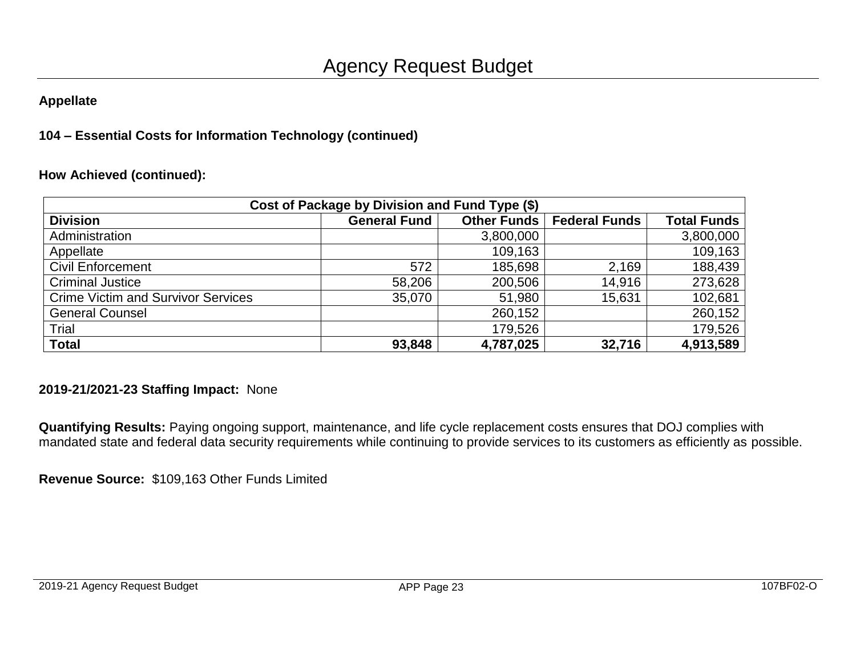# **104 – Essential Costs for Information Technology (continued)**

## **How Achieved (continued):**

|                                           | Cost of Package by Division and Fund Type (\$) |             |                      |                    |
|-------------------------------------------|------------------------------------------------|-------------|----------------------|--------------------|
| <b>Division</b>                           | <b>General Fund</b>                            | Other Funds | <b>Federal Funds</b> | <b>Total Funds</b> |
| Administration                            |                                                | 3,800,000   |                      | 3,800,000          |
| Appellate                                 |                                                | 109,163     |                      | 109,163            |
| <b>Civil Enforcement</b>                  | 572                                            | 185,698     | 2,169                | 188,439            |
| <b>Criminal Justice</b>                   | 58,206                                         | 200,506     | 14,916               | 273,628            |
| <b>Crime Victim and Survivor Services</b> | 35,070                                         | 51,980      | 15,631               | 102,681            |
| <b>General Counsel</b>                    |                                                | 260,152     |                      | 260,152            |
| Trial                                     |                                                | 179,526     |                      | 179,526            |
| <b>Total</b>                              | 93,848                                         | 4,787,025   | 32,716               | 4,913,589          |

## **2019-21/2021-23 Staffing Impact:** None

**Quantifying Results:** Paying ongoing support, maintenance, and life cycle replacement costs ensures that DOJ complies with mandated state and federal data security requirements while continuing to provide services to its customers as efficiently as possible.

**Revenue Source:** \$109,163 Other Funds Limited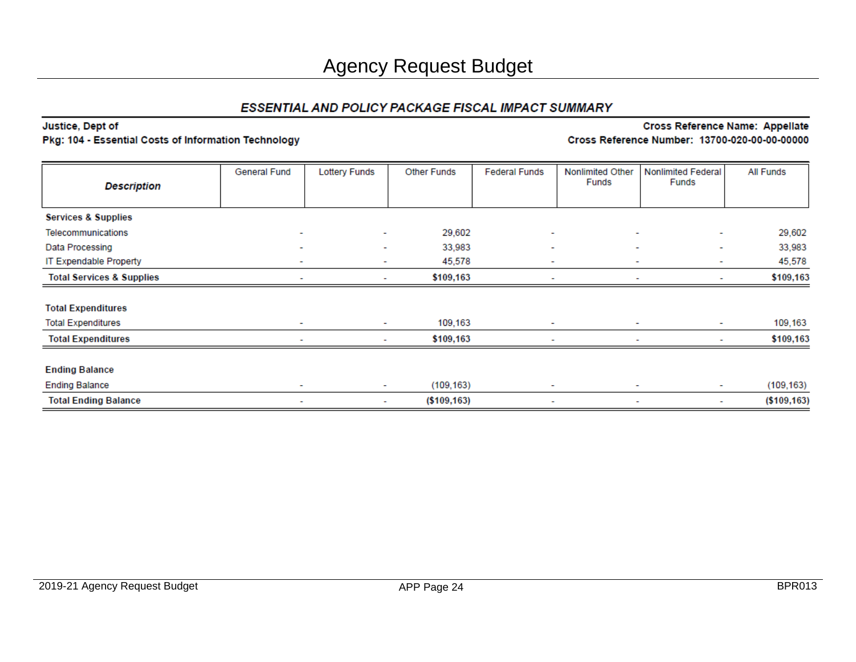#### Justice, Dept of

#### Pkg: 104 - Essential Costs of Information Technology

| <b>Description</b>                   | General Fund             | <b>Lottery Funds</b>     | <b>Other Funds</b> | <b>Federal Funds</b>     | Nonlimited Other<br>Funds | <b>Nonlimited Federal</b><br>Funds | All Funds     |
|--------------------------------------|--------------------------|--------------------------|--------------------|--------------------------|---------------------------|------------------------------------|---------------|
|                                      |                          |                          |                    |                          |                           |                                    |               |
| <b>Services &amp; Supplies</b>       |                          |                          |                    |                          |                           |                                    |               |
| Telecommunications                   | $\sim$                   | $\overline{\phantom{a}}$ | 29,602             | ٠                        | $\sim$                    |                                    | 29,602        |
| Data Processing                      | $\overline{\phantom{a}}$ | $\overline{\phantom{a}}$ | 33,983             | ٠                        | ٠                         | ٠                                  | 33,983        |
| <b>IT Expendable Property</b>        | $\overline{\phantom{0}}$ |                          | 45,578             | ٠                        | ۰                         |                                    | 45,578        |
| <b>Total Services &amp; Supplies</b> | ۰                        | $\overline{\phantom{a}}$ |                    | $\sim$                   | ٠                         | $\sim$                             | \$109,163     |
| <b>Total Expenditures</b>            |                          |                          |                    |                          |                           |                                    |               |
| <b>Total Expenditures</b>            | $\sim$                   | ٠                        | 109,163            | $\overline{\phantom{a}}$ | ٠                         | $\sim$                             | 109,163       |
| <b>Total Expenditures</b>            |                          | $\overline{\phantom{a}}$ | \$109,163          |                          | $\overline{\phantom{a}}$  | ۰                                  | \$109,163     |
| <b>Ending Balance</b>                |                          |                          |                    |                          |                           |                                    |               |
| <b>Ending Balance</b>                | $\sim$<br>$\sim$         |                          | (109, 163)         | ٠                        | ٠                         | $\sim$                             | (109, 163)    |
| <b>Total Ending Balance</b>          | ۰                        | $\sim$                   | ( \$109, 163)      | ٠                        | $\overline{\phantom{a}}$  | ۰.                                 | ( \$109, 163) |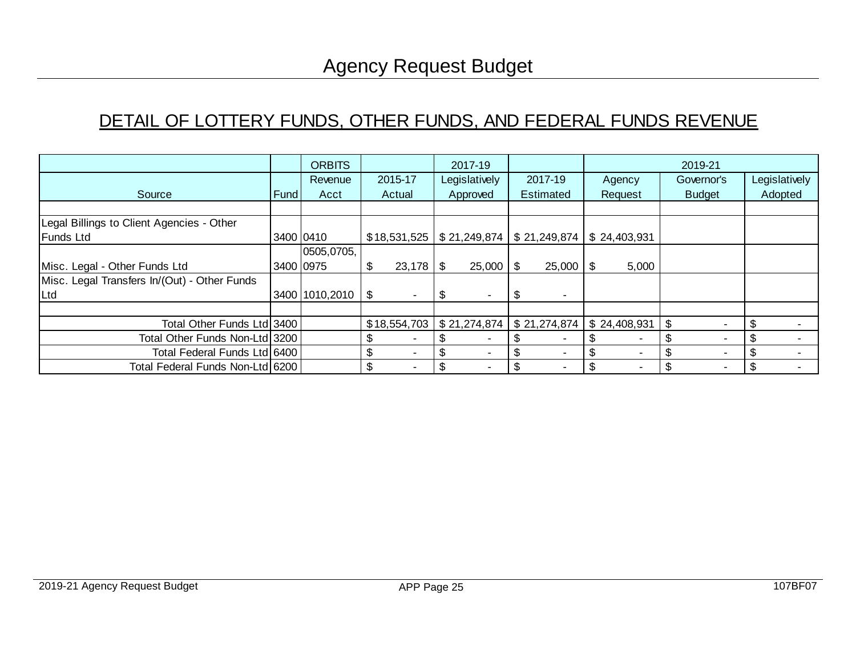# DETAIL OF LOTTERY FUNDS, OTHER FUNDS, AND FEDERAL FUNDS REVENUE

|                                              |           | <b>ORBITS</b>       |         |     | 2017-19                                     |      |              |     |              | 2019-21       |    |               |
|----------------------------------------------|-----------|---------------------|---------|-----|---------------------------------------------|------|--------------|-----|--------------|---------------|----|---------------|
|                                              |           | Revenue             | 2015-17 |     | Legislatively                               |      | 2017-19      |     | Agency       | Governor's    |    | Legislatively |
| Source                                       | Fund      | Acct                | Actual  |     | Approved                                    |      | Estimated    |     | Request      | <b>Budget</b> |    | Adopted       |
|                                              |           |                     |         |     |                                             |      |              |     |              |               |    |               |
| Legal Billings to Client Agencies - Other    |           |                     |         |     |                                             |      |              |     |              |               |    |               |
| <b>Funds Ltd</b>                             |           | 3400 0410           |         |     | $$18,531,525$   \$21,249,874   \$21,249,874 |      |              |     | \$24,403,931 |               |    |               |
|                                              |           | 0505,0705,          |         |     |                                             |      |              |     |              |               |    |               |
| Misc. Legal - Other Funds Ltd                | 3400 0975 |                     |         |     | $25,000$ \ \$                               |      | 25,000       | \$. | 5,000        |               |    |               |
| Misc. Legal Transfers In/(Out) - Other Funds |           |                     |         |     |                                             |      |              |     |              |               |    |               |
| Ltd                                          |           | 3400 1010,2010   \$ |         | -95 |                                             | - \$ | ٠            |     |              |               |    |               |
|                                              |           |                     |         |     |                                             |      |              |     |              |               |    |               |
| Total Other Funds Ltd 3400                   |           |                     |         |     | $$18,554,703 \mid $21,274,874 \mid$         |      | \$21,274,874 |     | \$24,408,931 | \$            | \$ |               |
| Total Other Funds Non-Ltd 3200               |           |                     |         |     |                                             |      |              |     |              |               |    |               |
| Total Federal Funds Ltd 6400                 |           |                     | ٠       |     |                                             |      | ٠            |     |              |               | \$ |               |
| Total Federal Funds Non-Ltd 6200             |           |                     |         |     |                                             |      | ٠            |     |              |               | .S |               |